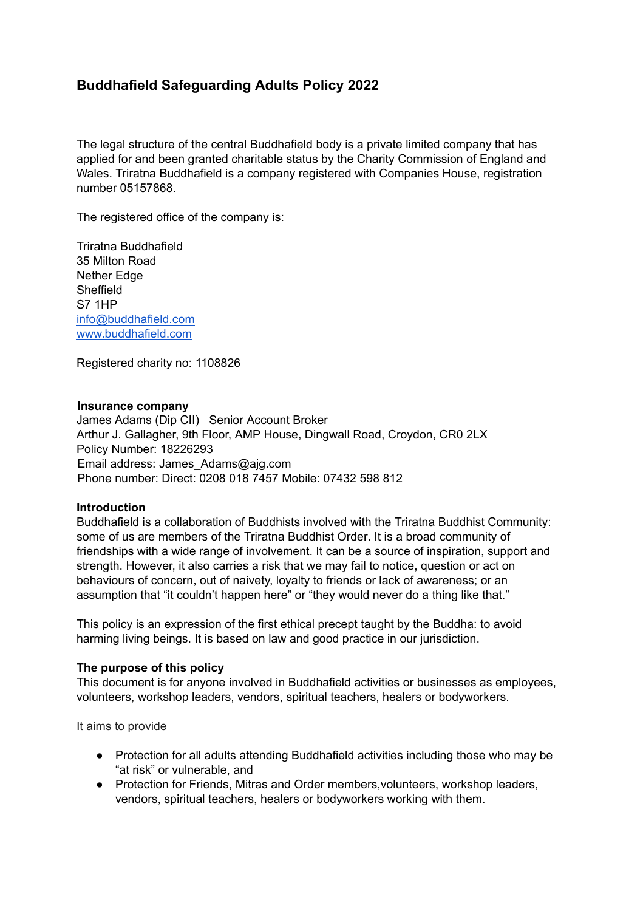# **Buddhafield Safeguarding Adults Policy 2022**

The legal structure of the central Buddhafield body is a private limited company that has applied for and been granted charitable status by the Charity Commission of England and Wales. Triratna Buddhafield is a company registered with Companies House, registration number 05157868.

The registered office of the company is:

Triratna Buddhafield 35 Milton Road Nether Edge **Sheffield** S7 1HP [info@buddhafield.com](mailto:info@buddhafield.com) [www.buddhafield.com](http://www.buddhafield.com/)

Registered charity no: 1108826

#### **Insurance company**

James Adams (Dip CII) Senior Account Broker Arthur J. Gallagher, 9th Floor, AMP House, Dingwall Road, Croydon, CR0 2LX Policy Number: 18226293 Email address: James\_Adams@ajg.com Phone number: Direct: 0208 018 7457 Mobile: 07432 598 812

#### **Introduction**

Buddhafield is a collaboration of Buddhists involved with the Triratna Buddhist Community: some of us are members of the Triratna Buddhist Order. It is a broad community of friendships with a wide range of involvement. It can be a source of inspiration, support and strength. However, it also carries a risk that we may fail to notice, question or act on behaviours of concern, out of naivety, loyalty to friends or lack of awareness; or an assumption that "it couldn't happen here" or "they would never do a thing like that."

This policy is an expression of the first ethical precept taught by the Buddha: to avoid harming living beings. It is based on law and good practice in our jurisdiction.

# **The purpose of this policy**

This document is for anyone involved in Buddhafield activities or businesses as employees, volunteers, workshop leaders, vendors, spiritual teachers, healers or bodyworkers.

It aims to provide

- Protection for all adults attending Buddhafield activities including those who may be "at risk" or vulnerable, and
- Protection for Friends, Mitras and Order members,volunteers, workshop leaders, vendors, spiritual teachers, healers or bodyworkers working with them.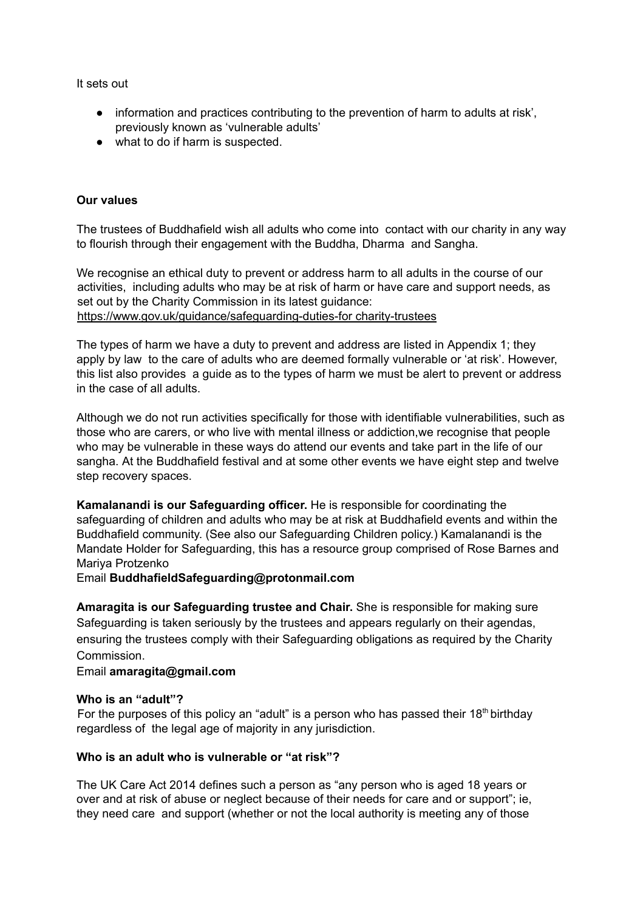It sets out

- information and practices contributing to the prevention of harm to adults at risk', previously known as 'vulnerable adults'
- what to do if harm is suspected.

# **Our values**

The trustees of Buddhafield wish all adults who come into contact with our charity in any way to flourish through their engagement with the Buddha, Dharma and Sangha.

We recognise an ethical duty to prevent or address harm to all adults in the course of our activities, including adults who may be at risk of harm or have care and support needs, as set out by the Charity Commission in its latest guidance: https://www.gov.uk/guidance/safeguarding-duties-for charity-trustees

The types of harm we have a duty to prevent and address are listed in Appendix 1; they apply by law to the care of adults who are deemed formally vulnerable or 'at risk'. However, this list also provides a guide as to the types of harm we must be alert to prevent or address in the case of all adults.

Although we do not run activities specifically for those with identifiable vulnerabilities, such as those who are carers, or who live with mental illness or addiction,we recognise that people who may be vulnerable in these ways do attend our events and take part in the life of our sangha. At the Buddhafield festival and at some other events we have eight step and twelve step recovery spaces.

**Kamalanandi is our Safeguarding officer.** He is responsible for coordinating the safeguarding of children and adults who may be at risk at Buddhafield events and within the Buddhafield community. (See also our Safeguarding Children policy.) Kamalanandi is the Mandate Holder for Safeguarding, this has a resource group comprised of Rose Barnes and Mariya Protzenko

Email **BuddhafieldSafeguarding@protonmail.com**

**Amaragita is our Safeguarding trustee and Chair.** She is responsible for making sure Safeguarding is taken seriously by the trustees and appears regularly on their agendas, ensuring the trustees comply with their Safeguarding obligations as required by the Charity Commission.

# Email **amaragita@gmail.com**

# **Who is an "adult"?**

For the purposes of this policy an "adult" is a person who has passed their 18<sup>th</sup> birthday regardless of the legal age of majority in any jurisdiction.

# **Who is an adult who is vulnerable or "at risk"?**

The UK Care Act 2014 defines such a person as "any person who is aged 18 years or over and at risk of abuse or neglect because of their needs for care and or support"; ie, they need care and support (whether or not the local authority is meeting any of those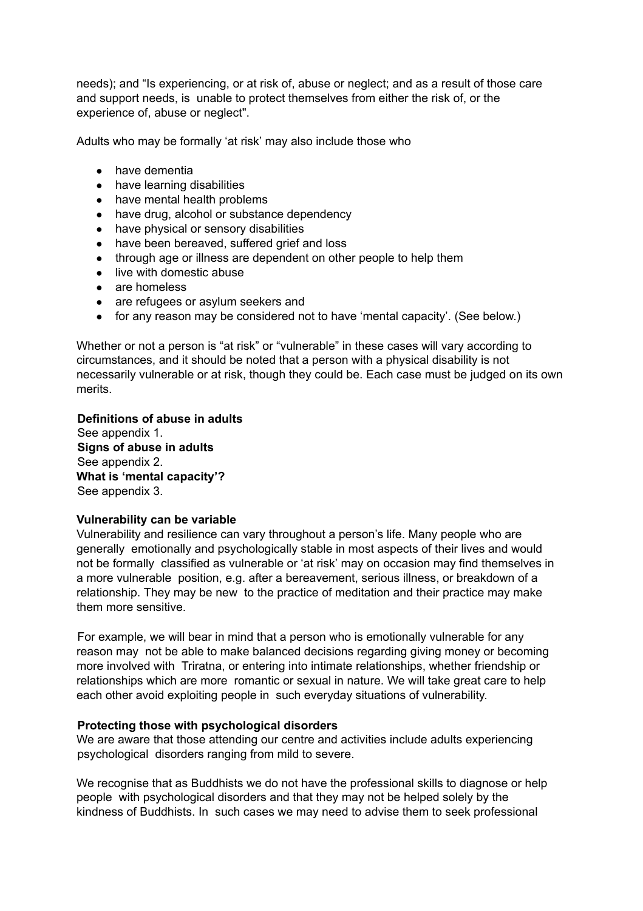needs); and "Is experiencing, or at risk of, abuse or neglect; and as a result of those care and support needs, is unable to protect themselves from either the risk of, or the experience of, abuse or neglect".

Adults who may be formally 'at risk' may also include those who

- have dementia
- have learning disabilities
- have mental health problems
- have drug, alcohol or substance dependency
- have physical or sensory disabilities
- have been bereaved, suffered grief and loss
- through age or illness are dependent on other people to help them
- live with domestic abuse
- are homeless
- are refugees or asylum seekers and
- for any reason may be considered not to have 'mental capacity'. (See below.)

Whether or not a person is "at risk" or "vulnerable" in these cases will vary according to circumstances, and it should be noted that a person with a physical disability is not necessarily vulnerable or at risk, though they could be. Each case must be judged on its own merits.

# **Definitions of abuse in adults**

See appendix 1. **Signs of abuse in adults** See appendix 2. **What is 'mental capacity'?** See appendix 3.

#### **Vulnerability can be variable**

Vulnerability and resilience can vary throughout a person's life. Many people who are generally emotionally and psychologically stable in most aspects of their lives and would not be formally classified as vulnerable or 'at risk' may on occasion may find themselves in a more vulnerable position, e.g. after a bereavement, serious illness, or breakdown of a relationship. They may be new to the practice of meditation and their practice may make them more sensitive.

For example, we will bear in mind that a person who is emotionally vulnerable for any reason may not be able to make balanced decisions regarding giving money or becoming more involved with Triratna, or entering into intimate relationships, whether friendship or relationships which are more romantic or sexual in nature. We will take great care to help each other avoid exploiting people in such everyday situations of vulnerability.

#### **Protecting those with psychological disorders**

We are aware that those attending our centre and activities include adults experiencing psychological disorders ranging from mild to severe.

We recognise that as Buddhists we do not have the professional skills to diagnose or help people with psychological disorders and that they may not be helped solely by the kindness of Buddhists. In such cases we may need to advise them to seek professional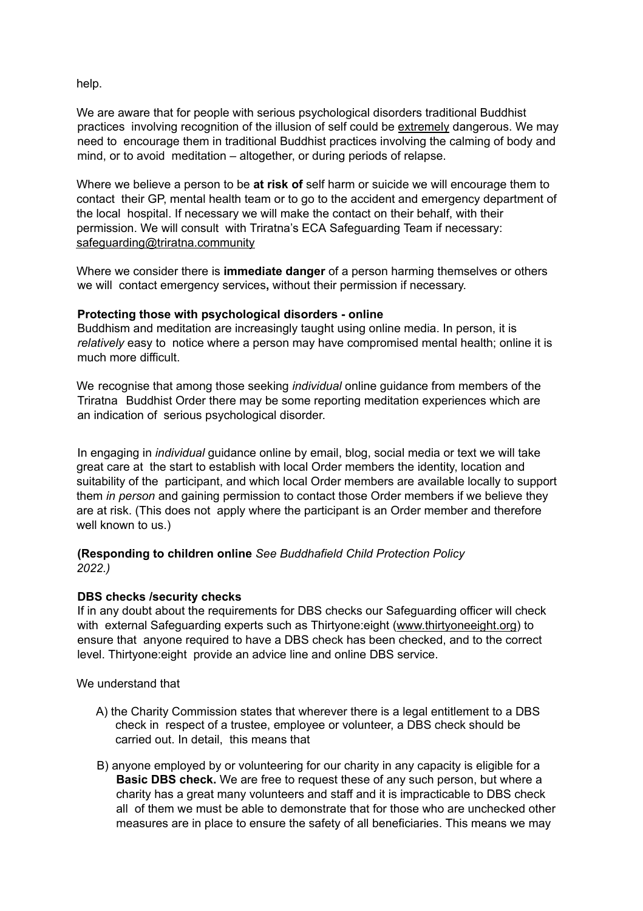help.

We are aware that for people with serious psychological disorders traditional Buddhist practices involving recognition of the illusion of self could be extremely dangerous. We may need to encourage them in traditional Buddhist practices involving the calming of body and mind, or to avoid meditation – altogether, or during periods of relapse.

Where we believe a person to be **at risk of** self harm or suicide we will encourage them to contact their GP, mental health team or to go to the accident and emergency department of the local hospital. If necessary we will make the contact on their behalf, with their permission. We will consult with Triratna's ECA Safeguarding Team if necessary: safeguarding@triratna.community

Where we consider there is **immediate danger** of a person harming themselves or others we will contact emergency services**,** without their permission if necessary.

#### **Protecting those with psychological disorders - online**

Buddhism and meditation are increasingly taught using online media. In person, it is *relatively* easy to notice where a person may have compromised mental health; online it is much more difficult.

We recognise that among those seeking *individual* online guidance from members of the Triratna Buddhist Order there may be some reporting meditation experiences which are an indication of serious psychological disorder.

In engaging in *individual* guidance online by email, blog, social media or text we will take great care at the start to establish with local Order members the identity, location and suitability of the participant, and which local Order members are available locally to support them *in person* and gaining permission to contact those Order members if we believe they are at risk. (This does not apply where the participant is an Order member and therefore well known to us.)

# **(Responding to children online** *See Buddhafield Child Protection Policy 2022.)*

# **DBS checks /security checks**

If in any doubt about the requirements for DBS checks our Safeguarding officer will check with external Safeguarding experts such as Thirtyone:eight (www.thirtyoneeight.org) to ensure that anyone required to have a DBS check has been checked, and to the correct level. Thirtyone:eight provide an advice line and online DBS service.

We understand that

- A) the Charity Commission states that wherever there is a legal entitlement to a DBS check in respect of a trustee, employee or volunteer, a DBS check should be carried out. In detail, this means that
- B) anyone employed by or volunteering for our charity in any capacity is eligible for a **Basic DBS check.** We are free to request these of any such person, but where a charity has a great many volunteers and staff and it is impracticable to DBS check all of them we must be able to demonstrate that for those who are unchecked other measures are in place to ensure the safety of all beneficiaries. This means we may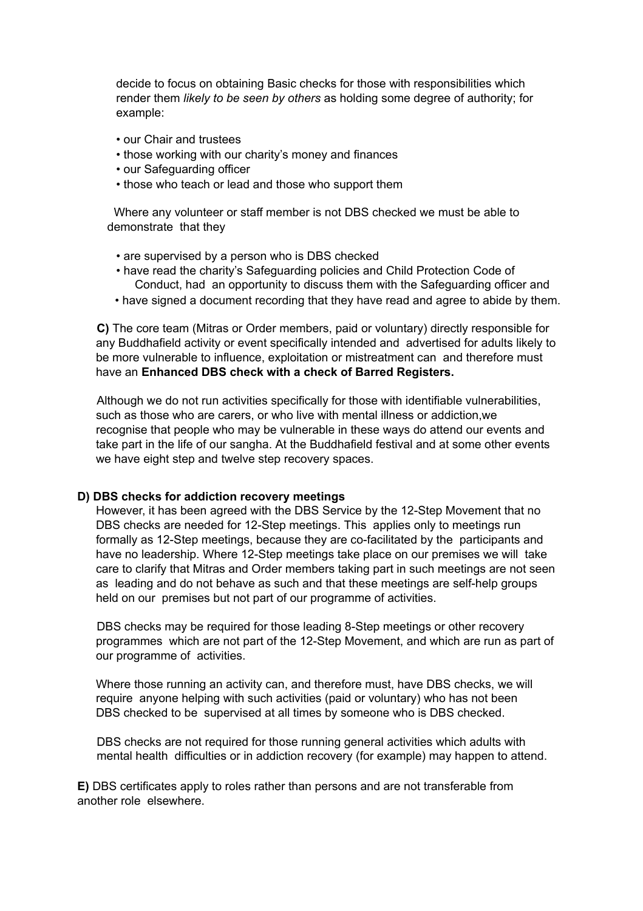decide to focus on obtaining Basic checks for those with responsibilities which render them *likely to be seen by others* as holding some degree of authority; for example:

- our Chair and trustees
- those working with our charity's money and finances
- our Safeguarding officer
- those who teach or lead and those who support them

Where any volunteer or staff member is not DBS checked we must be able to demonstrate that they

- are supervised by a person who is DBS checked
- have read the charity's Safeguarding policies and Child Protection Code of Conduct, had an opportunity to discuss them with the Safeguarding officer and
- have signed a document recording that they have read and agree to abide by them.

**C)** The core team (Mitras or Order members, paid or voluntary) directly responsible for any Buddhafield activity or event specifically intended and advertised for adults likely to be more vulnerable to influence, exploitation or mistreatment can and therefore must have an **Enhanced DBS check with a check of Barred Registers.**

Although we do not run activities specifically for those with identifiable vulnerabilities, such as those who are carers, or who live with mental illness or addiction,we recognise that people who may be vulnerable in these ways do attend our events and take part in the life of our sangha. At the Buddhafield festival and at some other events we have eight step and twelve step recovery spaces.

#### **D) DBS checks for addiction recovery meetings**

However, it has been agreed with the DBS Service by the 12-Step Movement that no DBS checks are needed for 12-Step meetings. This applies only to meetings run formally as 12-Step meetings, because they are co-facilitated by the participants and have no leadership. Where 12-Step meetings take place on our premises we will take care to clarify that Mitras and Order members taking part in such meetings are not seen as leading and do not behave as such and that these meetings are self-help groups held on our premises but not part of our programme of activities.

DBS checks may be required for those leading 8-Step meetings or other recovery programmes which are not part of the 12-Step Movement, and which are run as part of our programme of activities.

Where those running an activity can, and therefore must, have DBS checks, we will require anyone helping with such activities (paid or voluntary) who has not been DBS checked to be supervised at all times by someone who is DBS checked.

DBS checks are not required for those running general activities which adults with mental health difficulties or in addiction recovery (for example) may happen to attend.

**E)** DBS certificates apply to roles rather than persons and are not transferable from another role elsewhere.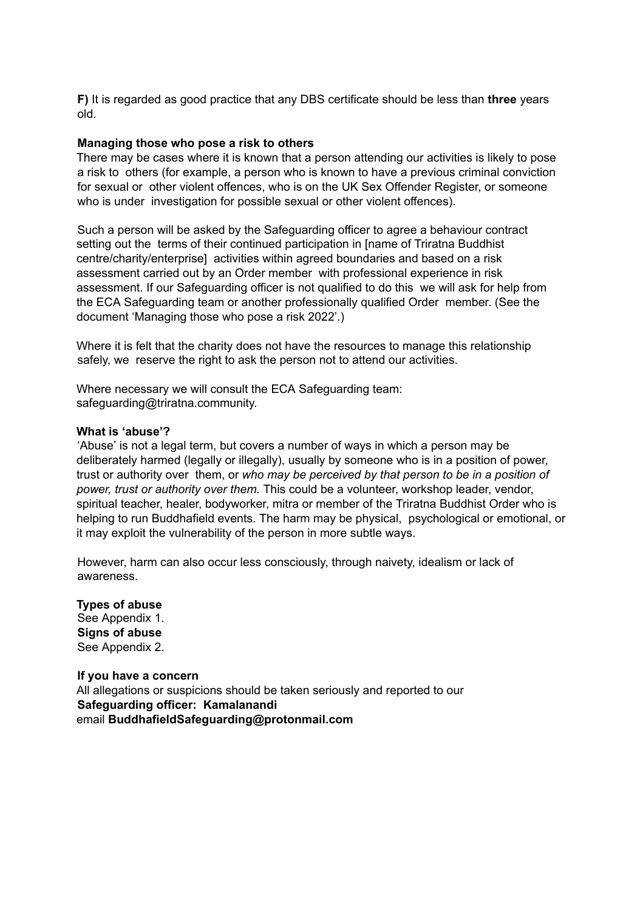**F)** It is regarded as good practice that any DBS certificate should be less than **three** years old.

#### **Managing those who pose a risk to others**

There may be cases where it is known that a person attending our activities is likely to pose a risk to others (for example, a person who is known to have a previous criminal conviction for sexual or other violent offences, who is on the UK Sex Offender Register, or someone who is under investigation for possible sexual or other violent offences).

Such a person will be asked by the Safeguarding officer to agree a behaviour contract setting out the terms of their continued participation in [name of Triratna Buddhist centre/charity/enterprise] activities within agreed boundaries and based on a risk assessment carried out by an Order member with professional experience in risk assessment. If our Safeguarding officer is not qualified to do this we will ask for help from the ECA Safeguarding team or another professionally qualified Order member. (See the document 'Managing those who pose a risk 2022'.)

Where it is felt that the charity does not have the resources to manage this relationship safely, we reserve the right to ask the person not to attend our activities.

Where necessary we will consult the ECA Safeguarding team: safeguarding@triratna.community.

#### **What is 'abuse'?**

'Abuse' is not a legal term, but covers a number of ways in which a person may be deliberately harmed (legally or illegally), usually by someone who is in a position of power, trust or authority over them, or *who may be perceived by that person to be in a position of power, trust or authority over them.* This could be a volunteer, workshop leader, vendor, spiritual teacher, healer, bodyworker, mitra or member of the Triratna Buddhist Order who is helping to run Buddhafield events. The harm may be physical, psychological or emotional, or it may exploit the vulnerability of the person in more subtle ways.

However, harm can also occur less consciously, through naivety, idealism or lack of awareness.

**Types of abuse** See Appendix 1. **Signs of abuse** See Appendix 2.

**If you have a concern** All allegations or suspicions should be taken seriously and reported to our **Safeguarding officer: Kamalanandi** email **BuddhafieldSafeguarding@protonmail.com**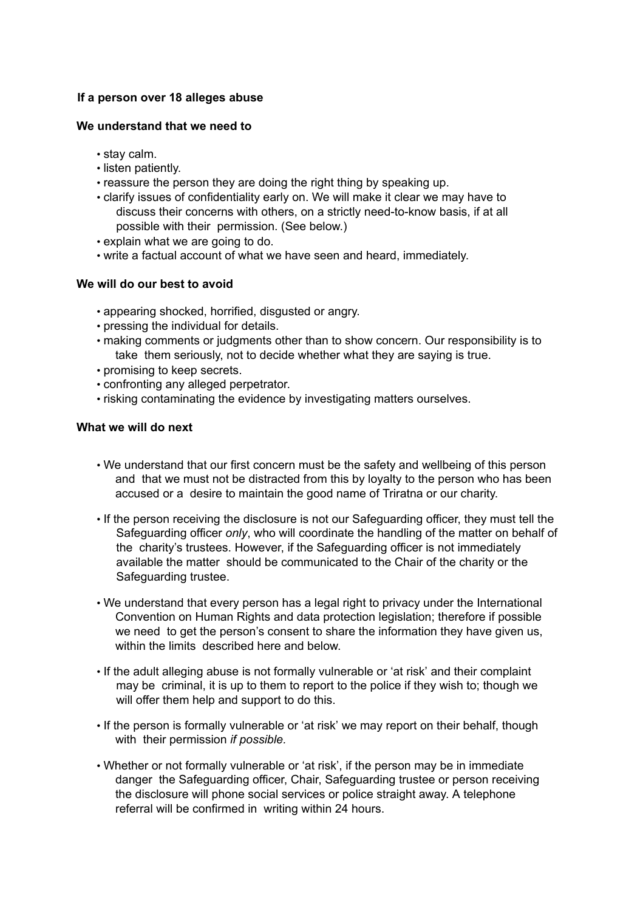# **If a person over 18 alleges abuse**

# **We understand that we need to**

- stay calm.
- listen patiently.
- reassure the person they are doing the right thing by speaking up.
- clarify issues of confidentiality early on. We will make it clear we may have to discuss their concerns with others, on a strictly need-to-know basis, if at all possible with their permission. (See below.)
- explain what we are going to do.
- write a factual account of what we have seen and heard, immediately.

# **We will do our best to avoid**

- appearing shocked, horrified, disgusted or angry.
- pressing the individual for details.
- making comments or judgments other than to show concern. Our responsibility is to take them seriously, not to decide whether what they are saying is true.
- promising to keep secrets.
- confronting any alleged perpetrator.
- risking contaminating the evidence by investigating matters ourselves.

# **What we will do next**

- We understand that our first concern must be the safety and wellbeing of this person and that we must not be distracted from this by loyalty to the person who has been accused or a desire to maintain the good name of Triratna or our charity.
- If the person receiving the disclosure is not our Safeguarding officer, they must tell the Safeguarding officer *only*, who will coordinate the handling of the matter on behalf of the charity's trustees. However, if the Safeguarding officer is not immediately available the matter should be communicated to the Chair of the charity or the Safeguarding trustee.
- We understand that every person has a legal right to privacy under the International Convention on Human Rights and data protection legislation; therefore if possible we need to get the person's consent to share the information they have given us, within the limits described here and below.
- If the adult alleging abuse is not formally vulnerable or 'at risk' and their complaint may be criminal, it is up to them to report to the police if they wish to; though we will offer them help and support to do this.
- If the person is formally vulnerable or 'at risk' we may report on their behalf, though with their permission *if possible.*
- Whether or not formally vulnerable or 'at risk', if the person may be in immediate danger the Safeguarding officer, Chair, Safeguarding trustee or person receiving the disclosure will phone social services or police straight away. A telephone referral will be confirmed in writing within 24 hours.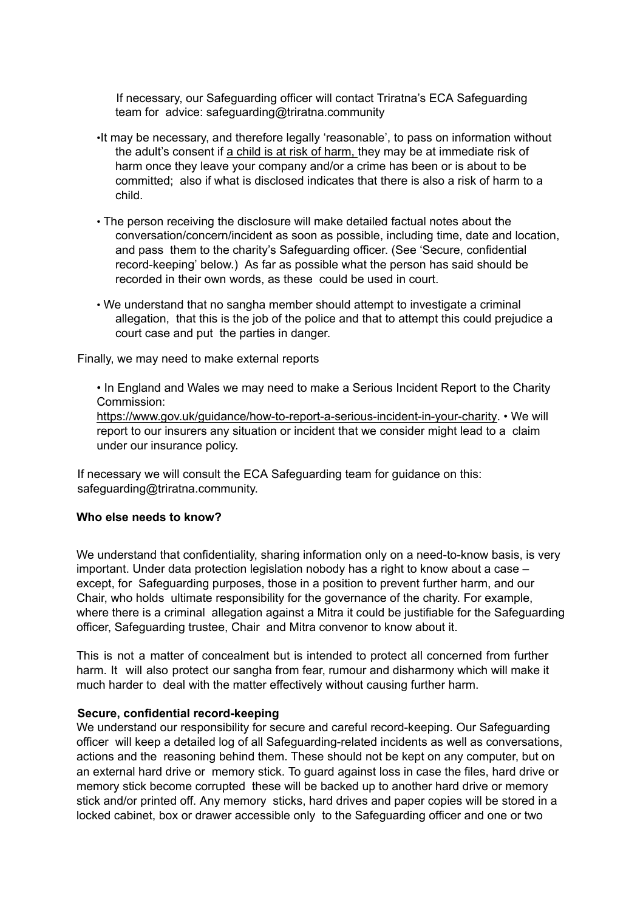If necessary, our Safeguarding officer will contact Triratna's ECA Safeguarding team for advice: safeguarding@triratna.community

- •It may be necessary, and therefore legally 'reasonable', to pass on information without the adult's consent if a child is at risk of harm, they may be at immediate risk of harm once they leave your company and/or a crime has been or is about to be committed; also if what is disclosed indicates that there is also a risk of harm to a child.
- The person receiving the disclosure will make detailed factual notes about the conversation/concern/incident as soon as possible, including time, date and location, and pass them to the charity's Safeguarding officer. (See 'Secure, confidential record-keeping' below.) As far as possible what the person has said should be recorded in their own words, as these could be used in court.
- We understand that no sangha member should attempt to investigate a criminal allegation, that this is the job of the police and that to attempt this could prejudice a court case and put the parties in danger.

Finally, we may need to make external reports

• In England and Wales we may need to make a Serious Incident Report to the Charity Commission:

https://www.gov.uk/guidance/how-to-report-a-serious-incident-in-your-charity. • We will report to our insurers any situation or incident that we consider might lead to a claim under our insurance policy.

If necessary we will consult the ECA Safeguarding team for guidance on this: safeguarding@triratna.community.

#### **Who else needs to know?**

We understand that confidentiality, sharing information only on a need-to-know basis, is very important. Under data protection legislation nobody has a right to know about a case – except, for Safeguarding purposes, those in a position to prevent further harm, and our Chair, who holds ultimate responsibility for the governance of the charity. For example, where there is a criminal allegation against a Mitra it could be justifiable for the Safeguarding officer, Safeguarding trustee, Chair and Mitra convenor to know about it.

This is not a matter of concealment but is intended to protect all concerned from further harm. It will also protect our sangha from fear, rumour and disharmony which will make it much harder to deal with the matter effectively without causing further harm.

#### **Secure, confidential record-keeping**

We understand our responsibility for secure and careful record-keeping. Our Safeguarding officer will keep a detailed log of all Safeguarding-related incidents as well as conversations, actions and the reasoning behind them. These should not be kept on any computer, but on an external hard drive or memory stick. To guard against loss in case the files, hard drive or memory stick become corrupted these will be backed up to another hard drive or memory stick and/or printed off. Any memory sticks, hard drives and paper copies will be stored in a locked cabinet, box or drawer accessible only to the Safeguarding officer and one or two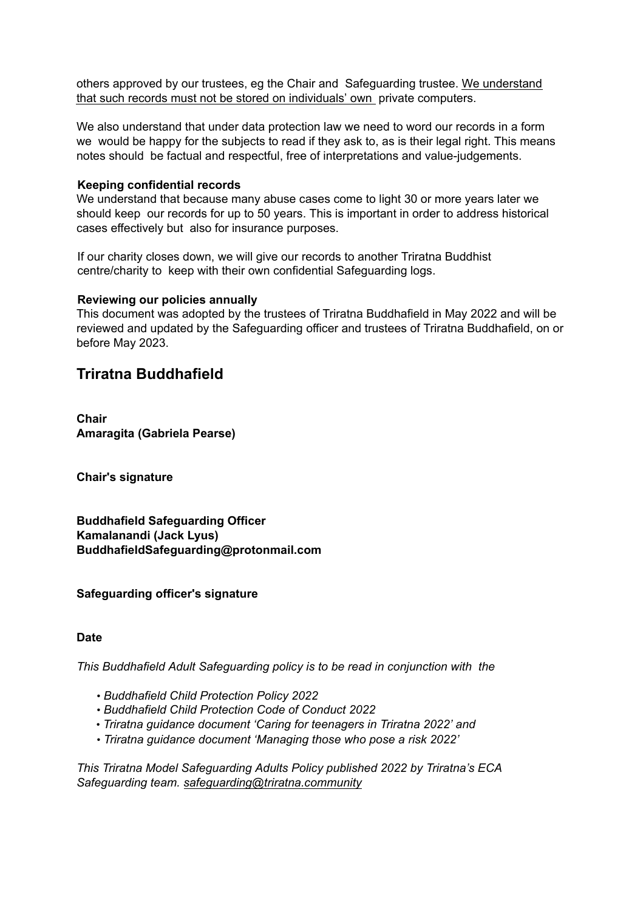others approved by our trustees, eg the Chair and Safeguarding trustee. We understand that such records must not be stored on individuals' own private computers.

We also understand that under data protection law we need to word our records in a form we would be happy for the subjects to read if they ask to, as is their legal right. This means notes should be factual and respectful, free of interpretations and value-judgements.

# **Keeping confidential records**

We understand that because many abuse cases come to light 30 or more years later we should keep our records for up to 50 years. This is important in order to address historical cases effectively but also for insurance purposes.

If our charity closes down, we will give our records to another Triratna Buddhist centre/charity to keep with their own confidential Safeguarding logs.

# **Reviewing our policies annually**

This document was adopted by the trustees of Triratna Buddhafield in May 2022 and will be reviewed and updated by the Safeguarding officer and trustees of Triratna Buddhafield, on or before May 2023.

# **Triratna Buddhafield**

**Chair Amaragita (Gabriela Pearse)**

**Chair's signature**

**Buddhafield Safeguarding Officer Kamalanandi (Jack Lyus) BuddhafieldSafeguarding@protonmail.com**

# **Safeguarding officer's signature**

#### **Date**

*This Buddhafield Adult Safeguarding policy is to be read in conjunction with the*

- *Buddhafield Child Protection Policy 2022*
- *Buddhafield Child Protection Code of Conduct 2022*
- *Triratna guidance document 'Caring for teenagers in Triratna 2022' and*
- *Triratna guidance document 'Managing those who pose a risk 2022'*

*This Triratna Model Safeguarding Adults Policy published 2022 by Triratna's ECA Safeguarding team. safeguarding@triratna.community*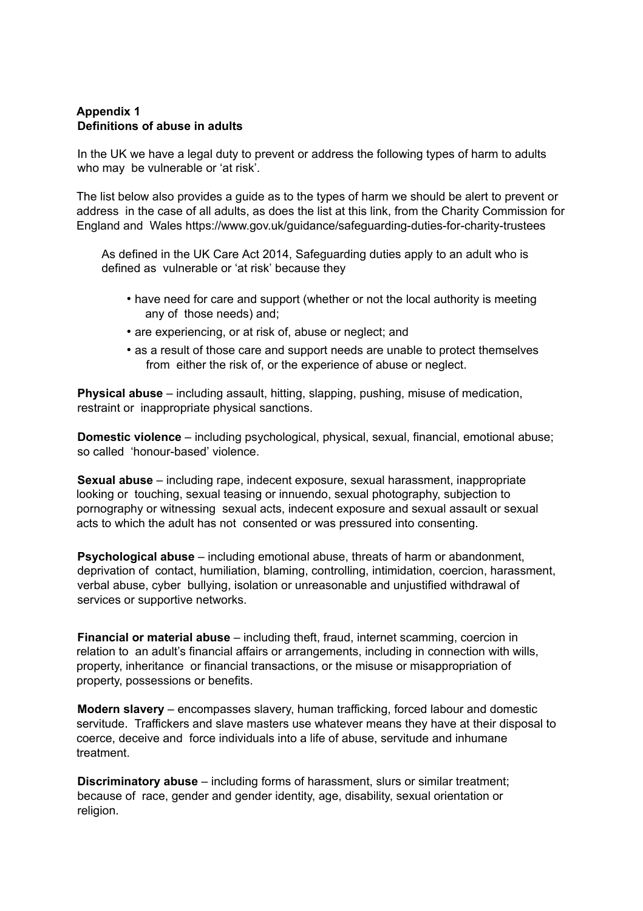# **Appendix 1 Definitions of abuse in adults**

In the UK we have a legal duty to prevent or address the following types of harm to adults who may be vulnerable or 'at risk'.

The list below also provides a guide as to the types of harm we should be alert to prevent or address in the case of all adults, as does the list at this link, from the Charity Commission for England and Wales https://www.gov.uk/guidance/safeguarding-duties-for-charity-trustees

As defined in the UK Care Act 2014, Safeguarding duties apply to an adult who is defined as vulnerable or 'at risk' because they

- have need for care and support (whether or not the local authority is meeting any of those needs) and;
- are experiencing, or at risk of, abuse or neglect; and
- as a result of those care and support needs are unable to protect themselves from either the risk of, or the experience of abuse or neglect.

**Physical abuse** – including assault, hitting, slapping, pushing, misuse of medication, restraint or inappropriate physical sanctions.

**Domestic violence** – including psychological, physical, sexual, financial, emotional abuse; so called 'honour-based' violence.

**Sexual abuse** – including rape, indecent exposure, sexual harassment, inappropriate looking or touching, sexual teasing or innuendo, sexual photography, subjection to pornography or witnessing sexual acts, indecent exposure and sexual assault or sexual acts to which the adult has not consented or was pressured into consenting.

**Psychological abuse** – including emotional abuse, threats of harm or abandonment, deprivation of contact, humiliation, blaming, controlling, intimidation, coercion, harassment, verbal abuse, cyber bullying, isolation or unreasonable and unjustified withdrawal of services or supportive networks.

**Financial or material abuse** – including theft, fraud, internet scamming, coercion in relation to an adult's financial affairs or arrangements, including in connection with wills, property, inheritance or financial transactions, or the misuse or misappropriation of property, possessions or benefits.

**Modern slavery** – encompasses slavery, human trafficking, forced labour and domestic servitude. Traffickers and slave masters use whatever means they have at their disposal to coerce, deceive and force individuals into a life of abuse, servitude and inhumane treatment.

**Discriminatory abuse** – including forms of harassment, slurs or similar treatment; because of race, gender and gender identity, age, disability, sexual orientation or religion.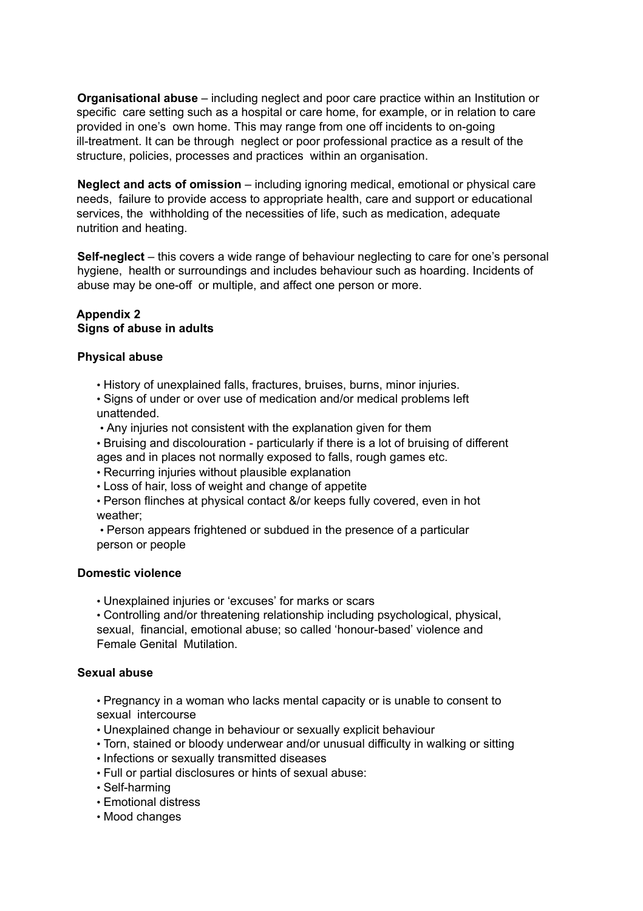**Organisational abuse** – including neglect and poor care practice within an Institution or specific care setting such as a hospital or care home, for example, or in relation to care provided in one's own home. This may range from one off incidents to on-going ill-treatment. It can be through neglect or poor professional practice as a result of the structure, policies, processes and practices within an organisation.

**Neglect and acts of omission** – including ignoring medical, emotional or physical care needs, failure to provide access to appropriate health, care and support or educational services, the withholding of the necessities of life, such as medication, adequate nutrition and heating.

**Self-neglect** – this covers a wide range of behaviour neglecting to care for one's personal hygiene, health or surroundings and includes behaviour such as hoarding. Incidents of abuse may be one-off or multiple, and affect one person or more.

# **Appendix 2 Signs of abuse in adults**

# **Physical abuse**

- History of unexplained falls, fractures, bruises, burns, minor injuries.
- Signs of under or over use of medication and/or medical problems left unattended.
- Any injuries not consistent with the explanation given for them
- Bruising and discolouration particularly if there is a lot of bruising of different ages and in places not normally exposed to falls, rough games etc.
- Recurring injuries without plausible explanation
- Loss of hair, loss of weight and change of appetite
- Person flinches at physical contact &/or keeps fully covered, even in hot weather;

• Person appears frightened or subdued in the presence of a particular person or people

# **Domestic violence**

- Unexplained injuries or 'excuses' for marks or scars
- Controlling and/or threatening relationship including psychological, physical, sexual, financial, emotional abuse; so called 'honour-based' violence and Female Genital Mutilation.

# **Sexual abuse**

- Pregnancy in a woman who lacks mental capacity or is unable to consent to sexual intercourse
- Unexplained change in behaviour or sexually explicit behaviour
- Torn, stained or bloody underwear and/or unusual difficulty in walking or sitting
- Infections or sexually transmitted diseases
- Full or partial disclosures or hints of sexual abuse:
- Self-harming
- Emotional distress
- Mood changes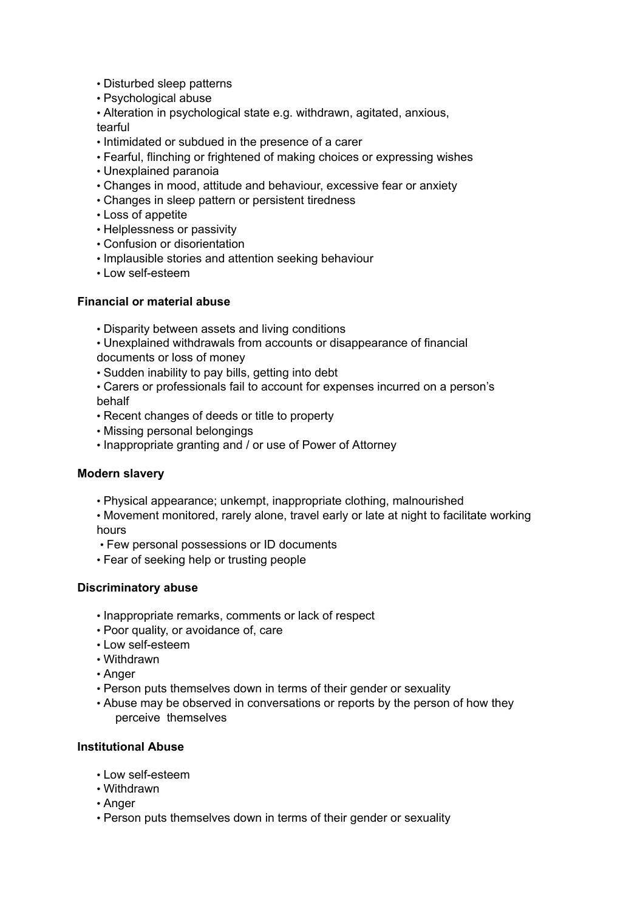- Disturbed sleep patterns
- Psychological abuse
- Alteration in psychological state e.g. withdrawn, agitated, anxious,

tearful

- Intimidated or subdued in the presence of a carer
- Fearful, flinching or frightened of making choices or expressing wishes
- Unexplained paranoia
- Changes in mood, attitude and behaviour, excessive fear or anxiety
- Changes in sleep pattern or persistent tiredness
- Loss of appetite
- Helplessness or passivity
- Confusion or disorientation
- Implausible stories and attention seeking behaviour
- Low self-esteem

# **Financial or material abuse**

- Disparity between assets and living conditions
- Unexplained withdrawals from accounts or disappearance of financial documents or loss of money
- Sudden inability to pay bills, getting into debt
- Carers or professionals fail to account for expenses incurred on a person's behalf
- Recent changes of deeds or title to property
- Missing personal belongings
- Inappropriate granting and / or use of Power of Attorney

# **Modern slavery**

- Physical appearance; unkempt, inappropriate clothing, malnourished
- Movement monitored, rarely alone, travel early or late at night to facilitate working hours
- Few personal possessions or ID documents
- Fear of seeking help or trusting people

#### **Discriminatory abuse**

- Inappropriate remarks, comments or lack of respect
- Poor quality, or avoidance of, care
- Low self-esteem
- Withdrawn
- Anger
- Person puts themselves down in terms of their gender or sexuality
- Abuse may be observed in conversations or reports by the person of how they perceive themselves

#### **Institutional Abuse**

- Low self-esteem
- Withdrawn
- Anger
- Person puts themselves down in terms of their gender or sexuality